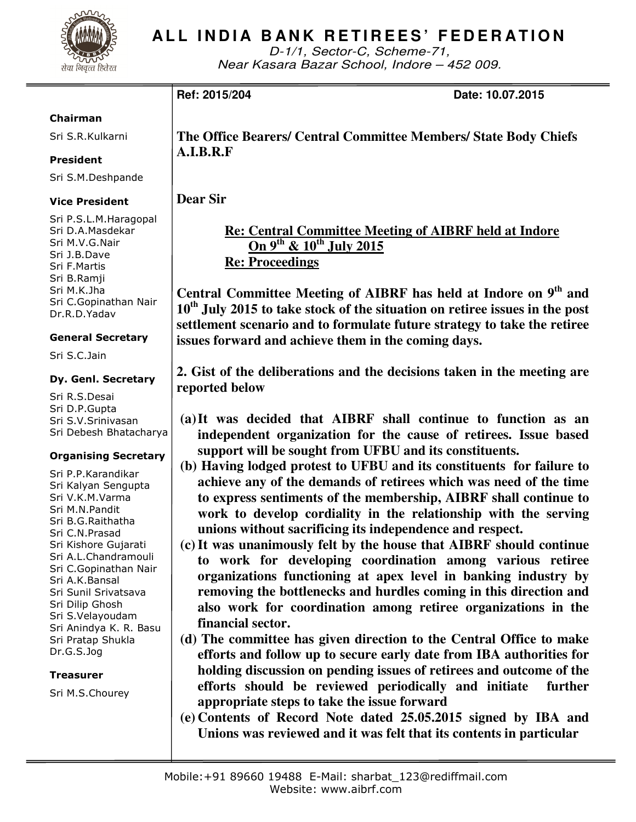

# **ALL INDIA BANK RETIREES' FEDERATION**

D-1/1, Sector-C, Scheme-71, Near Kasara Bazar School, Indore – 452 009.

**Ref: 2015/204 Date: 10.07.2015** 

#### Chairman

Sri S.R.Kulkarni

### President

Sri S.M.Deshpande

#### Vice President

Sri P.S.L.M.Haragopal Sri D.A.Masdekar Sri M.V.G.Nair Sri J.B.Dave Sri F.Martis Sri B.Ramji Sri M.K.Jha Sri C.Gopinathan Nair Dr.R.D.Yadav

#### General Secretary

Sri S.C.Jain

#### Dy. Genl. Secretary

Sri R.S.Desai Sri D.P.Gupta Sri S.V.Srinivasan Sri Debesh Bhatacharya

#### Organising Secretary

Sri P.P.Karandikar Sri Kalyan Sengupta Sri V.K.M.Varma Sri M.N.Pandit Sri B.G.Raithatha Sri C.N.Prasad Sri Kishore Gujarati Sri A.L.Chandramouli Sri C.Gopinathan Nair Sri A.K.Bansal Sri Sunil Srivatsava Sri Dilip Ghosh Sri S.Velayoudam Sri Anindya K. R. Basu Sri Pratap Shukla Dr.G.S.Jog

#### Treasurer

Sri M.S.Chourey

**The Office Bearers/ Central Committee Members/ State Body Chiefs A.I.B.R.F** 

**Dear Sir** 

## **Re: Central Committee Meeting of AIBRF held at Indore On 9th & 10th July 2015 Re: Proceedings**

**Central Committee Meeting of AIBRF has held at Indore on 9th and 10th July 2015 to take stock of the situation on retiree issues in the post settlement scenario and to formulate future strategy to take the retiree issues forward and achieve them in the coming days.**

**2. Gist of the deliberations and the decisions taken in the meeting are reported below** 

- **(a)It was decided that AIBRF shall continue to function as an independent organization for the cause of retirees. Issue based support will be sought from UFBU and its constituents.**
- **(b) Having lodged protest to UFBU and its constituents for failure to achieve any of the demands of retirees which was need of the time to express sentiments of the membership, AIBRF shall continue to work to develop cordiality in the relationship with the serving unions without sacrificing its independence and respect.**
- **(c)It was unanimously felt by the house that AIBRF should continue to work for developing coordination among various retiree organizations functioning at apex level in banking industry by removing the bottlenecks and hurdles coming in this direction and also work for coordination among retiree organizations in the financial sector.**
- **(d) The committee has given direction to the Central Office to make efforts and follow up to secure early date from IBA authorities for holding discussion on pending issues of retirees and outcome of the efforts should be reviewed periodically and initiate further appropriate steps to take the issue forward**
- **(e) Contents of Record Note dated 25.05.2015 signed by IBA and Unions was reviewed and it was felt that its contents in particular**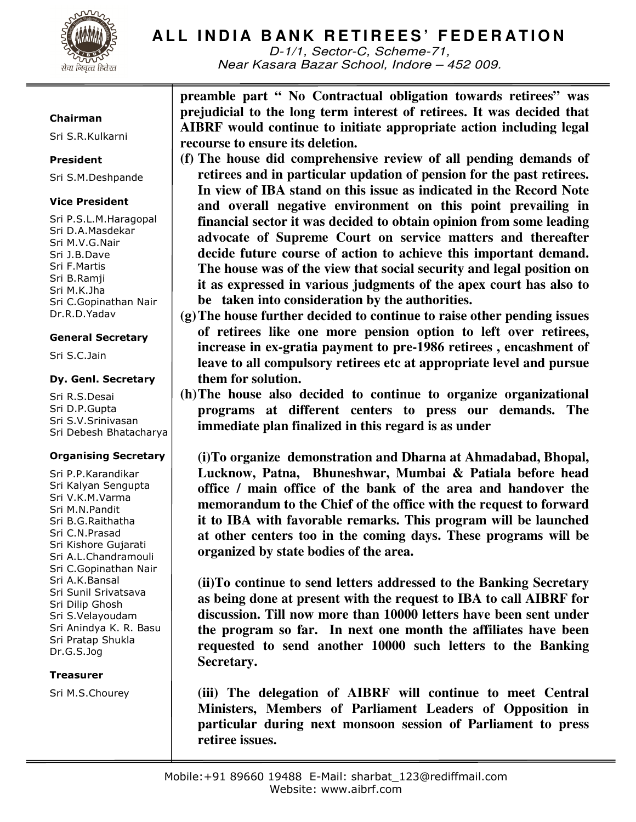

# **ALL INDIA BANK RETIREES' FEDERATION**

D-1/1, Sector-C, Scheme-71, Near Kasara Bazar School, Indore – 452 009.

#### Chairman

Sri S.R.Kulkarni

#### President

Sri S.M.Deshpande

### Vice President

Sri P.S.L.M.Haragopal Sri D.A.Masdekar Sri M.V.G.Nair Sri J.B.Dave Sri F.Martis Sri B.Ramji Sri M.K.Jha Sri C.Gopinathan Nair Dr.R.D.Yadav

#### General Secretary

Sri S.C.Jain

#### Dy. Genl. Secretary

Sri R.S.Desai Sri D.P.Gupta Sri S.V.Srinivasan Sri Debesh Bhatacharya

#### Organising Secretary

Sri P.P.Karandikar Sri Kalyan Sengupta Sri V.K.M.Varma Sri M.N.Pandit Sri B.G.Raithatha Sri C.N.Prasad Sri Kishore Gujarati Sri A.L.Chandramouli Sri C.Gopinathan Nair Sri A.K.Bansal Sri Sunil Srivatsava Sri Dilip Ghosh Sri S.Velayoudam Sri Anindya K. R. Basu Sri Pratap Shukla Dr.G.S.Jog

#### Treasurer

Sri M.S.Chourey

**preamble part " No Contractual obligation towards retirees" was prejudicial to the long term interest of retirees. It was decided that AIBRF would continue to initiate appropriate action including legal recourse to ensure its deletion.** 

- **(f) The house did comprehensive review of all pending demands of retirees and in particular updation of pension for the past retirees. In view of IBA stand on this issue as indicated in the Record Note and overall negative environment on this point prevailing in financial sector it was decided to obtain opinion from some leading advocate of Supreme Court on service matters and thereafter decide future course of action to achieve this important demand. The house was of the view that social security and legal position on it as expressed in various judgments of the apex court has also to be taken into consideration by the authorities.**
- **(g)The house further decided to continue to raise other pending issues of retirees like one more pension option to left over retirees, increase in ex-gratia payment to pre-1986 retirees , encashment of leave to all compulsory retirees etc at appropriate level and pursue them for solution.**
- **(h)The house also decided to continue to organize organizational programs at different centers to press our demands. The immediate plan finalized in this regard is as under**

**(i)To organize demonstration and Dharna at Ahmadabad, Bhopal, Lucknow, Patna, Bhuneshwar, Mumbai & Patiala before head office / main office of the bank of the area and handover the memorandum to the Chief of the office with the request to forward it to IBA with favorable remarks. This program will be launched at other centers too in the coming days. These programs will be organized by state bodies of the area.** 

**(ii)To continue to send letters addressed to the Banking Secretary as being done at present with the request to IBA to call AIBRF for discussion. Till now more than 10000 letters have been sent under the program so far. In next one month the affiliates have been requested to send another 10000 such letters to the Banking Secretary.** 

**(iii) The delegation of AIBRF will continue to meet Central Ministers, Members of Parliament Leaders of Opposition in particular during next monsoon session of Parliament to press retiree issues.**